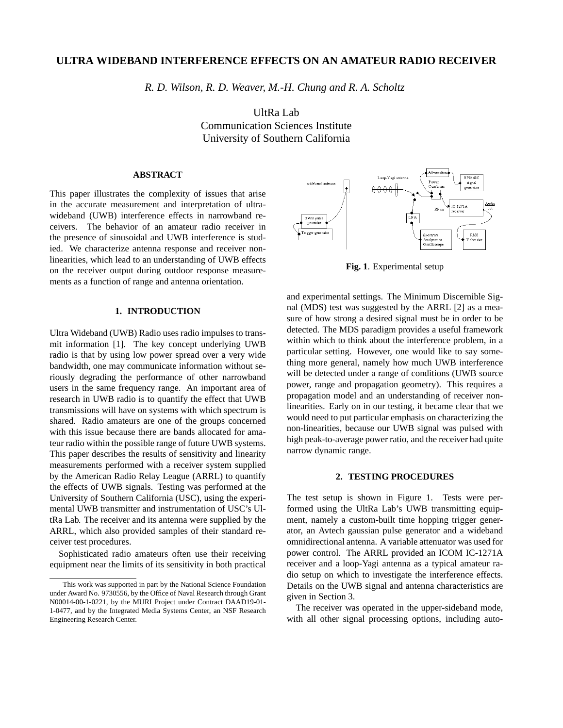# **ULTRA WIDEBAND INTERFERENCE EFFECTS ON AN AMATEUR RADIO RECEIVER**

*R. D. Wilson, R. D. Weaver, M.-H. Chung and R. A. Scholtz*

UltRa Lab Communication Sciences Institute University of Southern California

# **ABSTRACT**

This paper illustrates the complexity of issues that arise in the accurate measurement and interpretation of ultrawideband (UWB) interference effects in narrowband receivers. The behavior of an amateur radio receiver in the presence of sinusoidal and UWB interference is studied. We characterize antenna response and receiver nonlinearities, which lead to an understanding of UWB effects on the receiver output during outdoor response measurements as a function of range and antenna orientation.

# **1. INTRODUCTION**

Ultra Wideband (UWB) Radio uses radio impulses to transmit information [1]. The key concept underlying UWB radio is that by using low power spread over a very wide bandwidth, one may communicate information without seriously degrading the performance of other narrowband users in the same frequency range. An important area of research in UWB radio is to quantify the effect that UWB transmissions will have on systems with which spectrum is shared. Radio amateurs are one of the groups concerned with this issue because there are bands allocated for amateur radio within the possible range of future UWB systems. This paper describes the results of sensitivity and linearity measurements performed with a receiver system supplied by the American Radio Relay League (ARRL) to quantify the effects of UWB signals. Testing was performed at the University of Southern California (USC), using the experimental UWB transmitter and instrumentation of USC's UltRa Lab. The receiver and its antenna were supplied by the ARRL, which also provided samples of their standard receiver test procedures.

Sophisticated radio amateurs often use their receiving equipment near the limits of its sensitivity in both practical



**Fig. 1**. Experimental setup

and experimental settings. The Minimum Discernible Signal (MDS) test was suggested by the ARRL [2] as a measure of how strong a desired signal must be in order to be detected. The MDS paradigm provides a useful framework within which to think about the interference problem, in a particular setting. However, one would like to say something more general, namely how much UWB interference will be detected under a range of conditions (UWB source power, range and propagation geometry). This requires a propagation model and an understanding of receiver nonlinearities. Early on in our testing, it became clear that we would need to put particular emphasis on characterizing the non-linearities, because our UWB signal was pulsed with high peak-to-average power ratio, and the receiver had quite narrow dynamic range.

### **2. TESTING PROCEDURES**

The test setup is shown in Figure 1. Tests were performed using the UltRa Lab's UWB transmitting equipment, namely a custom-built time hopping trigger generator, an Avtech gaussian pulse generator and a wideband omnidirectional antenna. A variable attenuator was used for power control. The ARRL provided an ICOM IC-1271A receiver and a loop-Yagi antenna as a typical amateur radio setup on which to investigate the interference effects. Details on the UWB signal and antenna characteristics are given in Section 3.

The receiver was operated in the upper-sideband mode, with all other signal processing options, including auto-

This work was supported in part by the National Science Foundation under Award No. 9730556, by the Office of Naval Research through Grant N00014-00-1-0221, by the MURI Project under Contract DAAD19-01- 1-0477, and by the Integrated Media Systems Center, an NSF Research Engineering Research Center.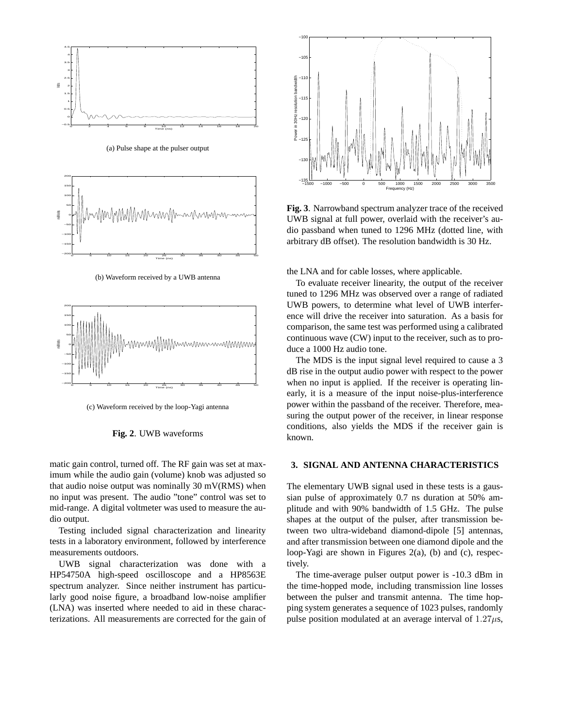

(a) Pulse shape at the pulser output



(b) Waveform received by a UWB antenna



(c) Waveform received by the loop-Yagi antenna



matic gain control, turned off. The RF gain was set at maximum while the audio gain (volume) knob was adjusted so that audio noise output was nominally 30 mV(RMS) when no input was present. The audio "tone" control was set to mid-range. A digital voltmeter was used to measure the audio output.

Testing included signal characterization and linearity tests in a laboratory environment, followed by interference measurements outdoors.

UWB signal characterization was done with a HP54750A high-speed oscilloscope and a HP8563E spectrum analyzer. Since neither instrument has particularly good noise figure, a broadband low-noise amplifier (LNA) was inserted where needed to aid in these characterizations. All measurements are corrected for the gain of



**Fig. 3**. Narrowband spectrum analyzer trace of the received UWB signal at full power, overlaid with the receiver's audio passband when tuned to 1296 MHz (dotted line, with arbitrary dB offset). The resolution bandwidth is 30 Hz.

the LNA and for cable losses, where applicable.

To evaluate receiver linearity, the output of the receiver tuned to 1296 MHz was observed over a range of radiated UWB powers, to determine what level of UWB interference will drive the receiver into saturation. As a basis for comparison, the same test was performed using a calibrated continuous wave (CW) input to the receiver, such as to produce a 1000 Hz audio tone.

The MDS is the input signal level required to cause a 3 dB rise in the output audio power with respect to the power when no input is applied. If the receiver is operating linearly, it is a measure of the input noise-plus-interference power within the passband of the receiver. Therefore, measuring the output power of the receiver, in linear response conditions, also yields the MDS if the receiver gain is known.

#### **3. SIGNAL AND ANTENNA CHARACTERISTICS**

The elementary UWB signal used in these tests is a gaussian pulse of approximately 0.7 ns duration at 50% amplitude and with 90% bandwidth of 1.5 GHz. The pulse shapes at the output of the pulser, after transmission between two ultra-wideband diamond-dipole [5] antennas, and after transmission between one diamond dipole and the loop-Yagi are shown in Figures 2(a), (b) and (c), respectively.

The time-average pulser output power is -10.3 dBm in the time-hopped mode, including transmission line losses between the pulser and transmit antenna. The time hopping system generates a sequence of 1023 pulses, randomly pulse position modulated at an average interval of  $1.27\mu s$ ,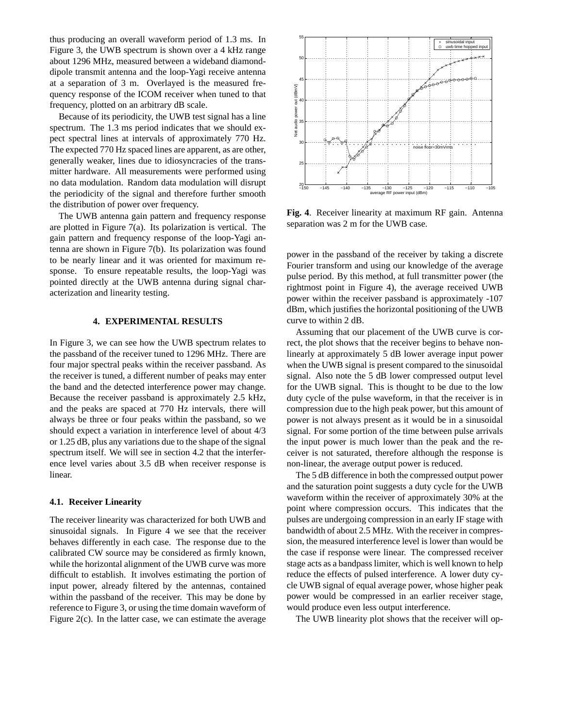thus producing an overall waveform period of 1.3 ms. In Figure 3, the UWB spectrum is shown over a 4 kHz range about 1296 MHz, measured between a wideband diamonddipole transmit antenna and the loop-Yagi receive antenna at a separation of 3 m. Overlayed is the measured frequency response of the ICOM receiver when tuned to that frequency, plotted on an arbitrary dB scale.

Because of its periodicity, the UWB test signal has a line spectrum. The 1.3 ms period indicates that we should expect spectral lines at intervals of approximately 770 Hz. The expected 770 Hz spaced lines are apparent, as are other, generally weaker, lines due to idiosyncracies of the transmitter hardware. All measurements were performed using no data modulation. Random data modulation will disrupt the periodicity of the signal and therefore further smooth the distribution of power over frequency.

The UWB antenna gain pattern and frequency response are plotted in Figure 7(a). Its polarization is vertical. The gain pattern and frequency response of the loop-Yagi antenna are shown in Figure 7(b). Its polarization was found to be nearly linear and it was oriented for maximum response. To ensure repeatable results, the loop-Yagi was pointed directly at the UWB antenna during signal characterization and linearity testing.

#### **4. EXPERIMENTAL RESULTS**

In Figure 3, we can see how the UWB spectrum relates to the passband of the receiver tuned to 1296 MHz. There are four major spectral peaks within the receiver passband. As the receiver is tuned, a different number of peaks may enter the band and the detected interference power may change. Because the receiver passband is approximately 2.5 kHz, and the peaks are spaced at 770 Hz intervals, there will always be three or four peaks within the passband, so we should expect a variation in interference level of about 4/3 or 1.25 dB, plus any variations due to the shape of the signal spectrum itself. We will see in section 4.2 that the interference level varies about 3.5 dB when receiver response is linear.

### **4.1. Receiver Linearity**

The receiver linearity was characterized for both UWB and sinusoidal signals. In Figure 4 we see that the receiver behaves differently in each case. The response due to the calibrated CW source may be considered as firmly known, while the horizontal alignment of the UWB curve was more difficult to establish. It involves estimating the portion of input power, already filtered by the antennas, contained within the passband of the receiver. This may be done by reference to Figure 3, or using the time domain waveform of Figure 2(c). In the latter case, we can estimate the average



**Fig. 4**. Receiver linearity at maximum RF gain. Antenna separation was 2 m for the UWB case.

power in the passband of the receiver by taking a discrete Fourier transform and using our knowledge of the average pulse period. By this method, at full transmitter power (the rightmost point in Figure 4), the average received UWB power within the receiver passband is approximately -107 dBm, which justifies the horizontal positioning of the UWB curve to within 2 dB.

Assuming that our placement of the UWB curve is correct, the plot shows that the receiver begins to behave nonlinearly at approximately 5 dB lower average input power when the UWB signal is present compared to the sinusoidal signal. Also note the 5 dB lower compressed output level for the UWB signal. This is thought to be due to the low duty cycle of the pulse waveform, in that the receiver is in compression due to the high peak power, but this amount of power is not always present as it would be in a sinusoidal signal. For some portion of the time between pulse arrivals the input power is much lower than the peak and the receiver is not saturated, therefore although the response is non-linear, the average output power is reduced.

The 5 dB difference in both the compressed output power and the saturation point suggests a duty cycle for the UWB waveform within the receiver of approximately 30% at the point where compression occurs. This indicates that the pulses are undergoing compression in an early IF stage with bandwidth of about 2.5 MHz. With the receiver in compression, the measured interference level is lower than would be the case if response were linear. The compressed receiver stage acts as a bandpass limiter, which is well known to help reduce the effects of pulsed interference. A lower duty cycle UWB signal of equal average power, whose higher peak power would be compressed in an earlier receiver stage, would produce even less output interference.

The UWB linearity plot shows that the receiver will op-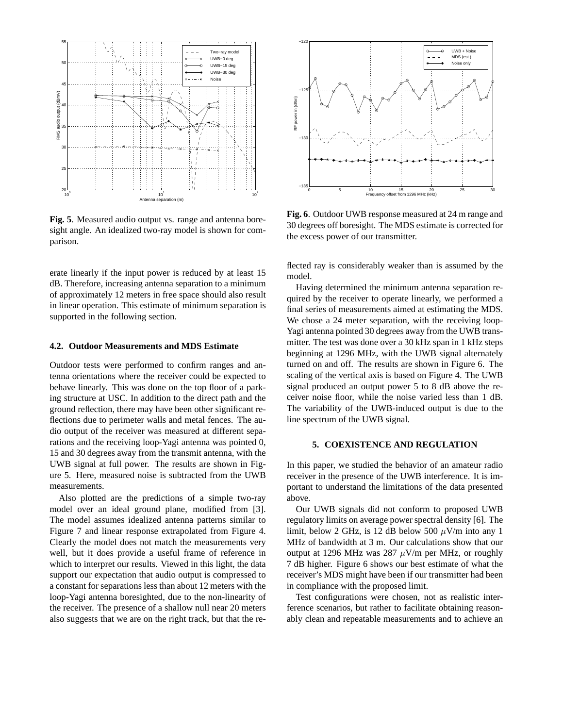

**Fig. 5**. Measured audio output vs. range and antenna boresight angle. An idealized two-ray model is shown for comparison.

erate linearly if the input power is reduced by at least 15 dB. Therefore, increasing antenna separation to a minimum of approximately 12 meters in free space should also result in linear operation. This estimate of minimum separation is supported in the following section.

#### **4.2. Outdoor Measurements and MDS Estimate**

Outdoor tests were performed to confirm ranges and antenna orientations where the receiver could be expected to behave linearly. This was done on the top floor of a parking structure at USC. In addition to the direct path and the ground reflection, there may have been other significant reflections due to perimeter walls and metal fences. The audio output of the receiver was measured at different separations and the receiving loop-Yagi antenna was pointed 0, 15 and 30 degrees away from the transmit antenna, with the UWB signal at full power. The results are shown in Figure 5. Here, measured noise is subtracted from the UWB measurements.

Also plotted are the predictions of a simple two-ray model over an ideal ground plane, modified from [3]. The model assumes idealized antenna patterns similar to Figure 7 and linear response extrapolated from Figure 4. Clearly the model does not match the measurements very well, but it does provide a useful frame of reference in which to interpret our results. Viewed in this light, the data support our expectation that audio output is compressed to a constant for separations less than about 12 meters with the loop-Yagi antenna boresighted, due to the non-linearity of the receiver. The presence of a shallow null near 20 meters also suggests that we are on the right track, but that the re-



**Fig. 6**. Outdoor UWB response measured at 24 m range and 30 degrees off boresight. The MDS estimate is corrected for the excess power of our transmitter.

flected ray is considerably weaker than is assumed by the model.

Having determined the minimum antenna separation required by the receiver to operate linearly, we performed a final series of measurements aimed at estimating the MDS. We chose a 24 meter separation, with the receiving loop-Yagi antenna pointed 30 degrees away from the UWB transmitter. The test was done over a 30 kHz span in 1 kHz steps beginning at 1296 MHz, with the UWB signal alternately turned on and off. The results are shown in Figure 6. The scaling of the vertical axis is based on Figure 4. The UWB signal produced an output power 5 to 8 dB above the receiver noise floor, while the noise varied less than 1 dB. The variability of the UWB-induced output is due to the line spectrum of the UWB signal.

## **5. COEXISTENCE AND REGULATION**

In this paper, we studied the behavior of an amateur radio receiver in the presence of the UWB interference. It is important to understand the limitations of the data presented above.

Our UWB signals did not conform to proposed UWB regulatory limits on average power spectral density [6]. The limit, below 2 GHz, is 12 dB below 500  $\mu$ V/m into any 1 MHz of bandwidth at 3 m. Our calculations show that our output at 1296 MHz was 287  $\mu$ V/m per MHz, or roughly 7 dB higher. Figure 6 shows our best estimate of what the receiver's MDS might have been if our transmitter had been in compliance with the proposed limit.

Test configurations were chosen, not as realistic interference scenarios, but rather to facilitate obtaining reasonably clean and repeatable measurements and to achieve an